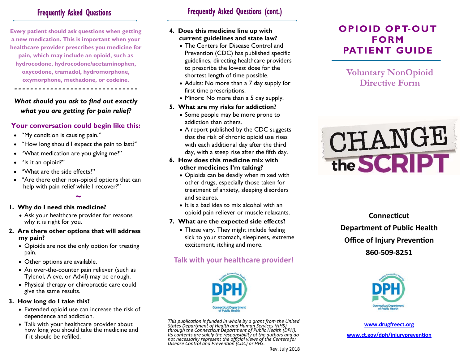## Frequently Asked Questions

**Every patient should ask questions when getting a new medication. This is important when your healthcare provider prescribes you medicine for pain, which may include an opioid, such as hydrocodone, hydrocodone/acetaminophen, oxycodone, tramadol, hydromorphone, oxymorphone, methadone, or codeine.**

## *What should you ask to find out exactly what you are getting for pain relief?*

*- - - - - - - - - - - - - - - - - - - - - - - - - - - - - - -* 

### **Your conversation could begin like this:**

- "My condition is causing pain."
- $\bullet$  "How long should I expect the pain to last?"
- $\bullet$ "What medication are you giving me?"
- "Is it an opioid?"
- $\bullet$ "What are the side effects?"
- $\bullet$  "Are there other non-opioid options that can  $\bullet$ help with pain relief while I recover?"

**~** 

### **1. Why do I need this medicine?**

- Ask your healthcare provider for reasons why it is right for you.
- **2. Are there other options that will address my pain?** 
	- Opioids are not the only option for treating pain.
	- Other options are available.
	- An over-the-counter pain reliever (such as Tylenol, Aleve, or Advil) may be enough.
	- Physical therapy or chiropractic care could give the same results.

### **3. How long do I take this?**

- Extended opioid use can increase the risk of dependence and addiction.
- Talk with your healthcare provider about how long you should take the medicine and if it should be refilled.

# Frequently Asked Questions (cont.)

#### **4. Does this medicine line up with current guidelines and state law?**

- The Centers for Disease Control and Prevention (CDC) has published specific guidelines, directing healthcare providers to prescribe the lowest dose for the shortest length of time possible.
- Adults: No more than a 7 day supply for first time prescriptions.
- Minors: No more than a 5 day supply.

### **5. What are my risks for addiction?**

- $\bullet$  Some people may be more prone to  $\hspace{0.1mm}$ addiction than others.
- A report published by the CDC suggests that the risk of chronic opioid use rises with each additional day after the third day, with a steep rise after the fifth day.

#### **6. How does this medicine mix with other medicines I'm taking?**

- Opioids can be deadly when mixed with other drugs, especially those taken for treatment of anxiety, sleeping disorders and seizures.
- $\bullet\,$  It is a bad idea to mix alcohol with an  $\,$ opioid pain reliever or muscle relaxants.

### **7. What are the expected side effects?**

 Those vary. They might include feeling sick to your stomach, sleepiness, extreme excitement, itching and more.

# **Talk with your healthcare provider!**



This publication is funded in whole by a grant from the United<br>States Department of Health and Human Services (HHS)<br>through the Connecticut Department of Public Health (DPH). through the Connecticut Department of Public Health (DPH).<br>Its contents are solely the responsibility of the authors and do<br>not necessarily represent the official views of the Centers for<br>Disease Control and Prevention (CD

# **OPIOID OPT-OUT FORM PATIENT GUIDE**

**Voluntary NonOpioid Directive Form** 



**ConnecƟcut Department of Public Health Office of Injury Prevention 860‐509‐8251** 



**www.drugfreect.org www.ct.gov/dph/injurypreven Ɵon**